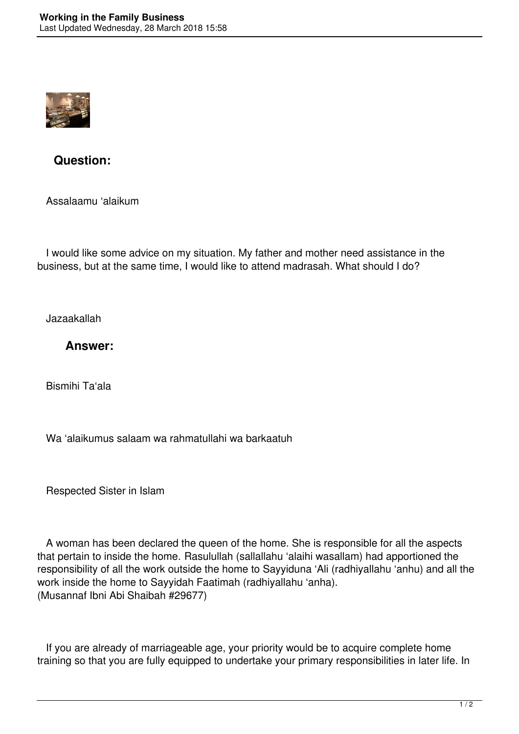

**Question:**

Assalaamu 'alaikum

 I would like some advice on my situation. My father and mother need assistance in the business, but at the same time, I would like to attend madrasah. What should I do?

Jazaakallah

**Answer:**

Bismihi Ta'ala

Wa 'alaikumus salaam wa rahmatullahi wa barkaatuh

Respected Sister in Islam

 A woman has been declared the queen of the home. She is responsible for all the aspects that pertain to inside the home. Rasulullah (sallallahu 'alaihi wasallam) had apportioned the responsibility of all the work outside the home to Sayyiduna 'Ali (radhiyallahu 'anhu) and all the work inside the home to Sayyidah Faatimah (radhiyallahu 'anha). (Musannaf Ibni Abi Shaibah #29677)

 If you are already of marriageable age, your priority would be to acquire complete home training so that you are fully equipped to undertake your primary responsibilities in later life. In